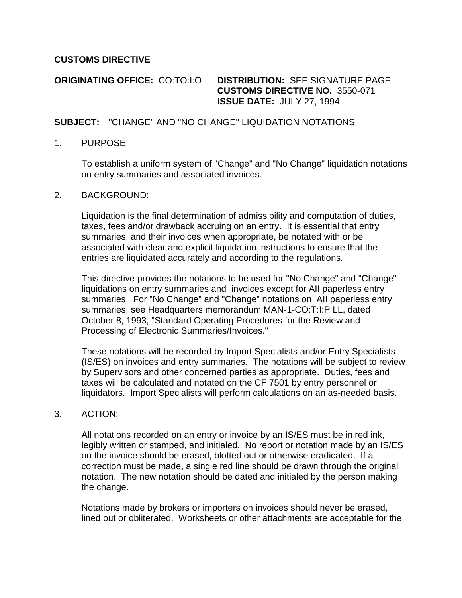# **CUSTOMS DIRECTIVE**

## **ORIGINATING OFFICE:** CO:TO:I:O **DISTRIBUTION:** SEE SIGNATURE PAGE **CUSTOMS DIRECTIVE NO.** 3550-071 **ISSUE DATE:** JULY 27, 1994

## **SUBJECT:** "CHANGE" AND "NO CHANGE" LIQUIDATION NOTATIONS

## 1. PURPOSE:

 To establish a uniform system of "Change" and "No Change" liquidation notations on entry summaries and associated invoices.

## 2. BACKGROUND:

 Liquidation is the final determination of admissibility and computation of duties, taxes, fees and/or drawback accruing on an entry. It is essential that entry summaries, and their invoices when appropriate, be notated with or be associated with clear and explicit liquidation instructions to ensure that the entries are liquidated accurately and according to the regulations.

 This directive provides the notations to be used for "No Change" and "Change" liquidations on entry summaries and invoices except for AII paperless entry summaries. For "No Change" and "Change" notations on AII paperless entry summaries, see Headquarters memorandum MAN-1-CO:T:I:P LL, dated October 8, 1993, "Standard Operating Procedures for the Review and Processing of Electronic Summaries/Invoices."

 These notations will be recorded by Import Specialists and/or Entry Specialists (IS/ES) on invoices and entry summaries. The notations will be subject to review by Supervisors and other concerned parties as appropriate. Duties, fees and taxes will be calculated and notated on the CF 7501 by entry personnel or liquidators. Import Specialists will perform calculations on an as-needed basis.

## 3. ACTION:

 All notations recorded on an entry or invoice by an IS/ES must be in red ink, legibly written or stamped, and initialed. No report or notation made by an IS/ES on the invoice should be erased, blotted out or otherwise eradicated. If a correction must be made, a single red line should be drawn through the original notation. The new notation should be dated and initialed by the person making the change.

 Notations made by brokers or importers on invoices should never be erased, lined out or obliterated. Worksheets or other attachments are acceptable for the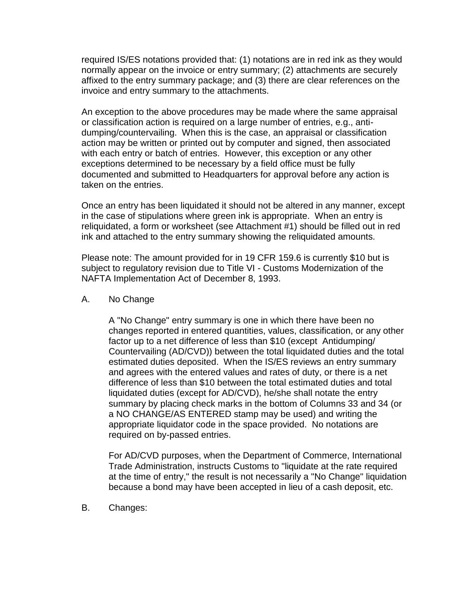required IS/ES notations provided that: (1) notations are in red ink as they would normally appear on the invoice or entry summary; (2) attachments are securely affixed to the entry summary package; and (3) there are clear references on the invoice and entry summary to the attachments.

 An exception to the above procedures may be made where the same appraisal or classification action is required on a large number of entries, e.g., anti dumping/countervailing. When this is the case, an appraisal or classification action may be written or printed out by computer and signed, then associated with each entry or batch of entries. However, this exception or any other exceptions determined to be necessary by a field office must be fully documented and submitted to Headquarters for approval before any action is taken on the entries.

Once an entry has been liquidated it should not be altered in any manner, except in the case of stipulations where green ink is appropriate. When an entry is reliquidated, a form or worksheet (see Attachment #1) should be filled out in red ink and attached to the entry summary showing the reliquidated amounts.

Please note: The amount provided for in 19 CFR 159.6 is currently \$10 but is subject to regulatory revision due to Title VI - Customs Modernization of the NAFTA Implementation Act of December 8, 1993.

A. No Change

A "No Change" entry summary is one in which there have been no changes reported in entered quantities, values, classification, or any other factor up to a net difference of less than \$10 (except Antidumping/ Countervailing (AD/CVD)) between the total liquidated duties and the total estimated duties deposited. When the IS/ES reviews an entry summary and agrees with the entered values and rates of duty, or there is a net difference of less than \$10 between the total estimated duties and total liquidated duties (except for AD/CVD), he/she shall notate the entry summary by placing check marks in the bottom of Columns 33 and 34 (or a NO CHANGE/AS ENTERED stamp may be used) and writing the appropriate liquidator code in the space provided. No notations are required on by-passed entries.

For AD/CVD purposes, when the Department of Commerce, International Trade Administration, instructs Customs to "liquidate at the rate required at the time of entry," the result is not necessarily a "No Change" liquidation because a bond may have been accepted in lieu of a cash deposit, etc.

B. Changes: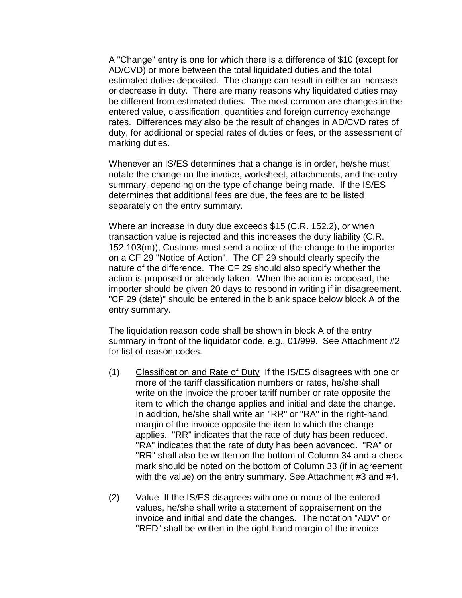A "Change" entry is one for which there is a difference of \$10 (except for AD/CVD) or more between the total liquidated duties and the total estimated duties deposited. The change can result in either an increase or decrease in duty. There are many reasons why liquidated duties may be different from estimated duties. The most common are changes in the entered value, classification, quantities and foreign currency exchange rates. Differences may also be the result of changes in AD/CVD rates of duty, for additional or special rates of duties or fees, or the assessment of marking duties.

Whenever an IS/ES determines that a change is in order, he/she must notate the change on the invoice, worksheet, attachments, and the entry summary, depending on the type of change being made. If the IS/ES determines that additional fees are due, the fees are to be listed separately on the entry summary.

Where an increase in duty due exceeds \$15 (C.R. 152.2), or when transaction value is rejected and this increases the duty liability (C.R. 152.103(m)), Customs must send a notice of the change to the importer on a CF 29 "Notice of Action". The CF 29 should clearly specify the nature of the difference. The CF 29 should also specify whether the action is proposed or already taken. When the action is proposed, the importer should be given 20 days to respond in writing if in disagreement. "CF 29 (date)" should be entered in the blank space below block A of the entry summary.

The liquidation reason code shall be shown in block A of the entry summary in front of the liquidator code, e.g., 01/999. See Attachment #2 for list of reason codes.

- (1) Classification and Rate of Duty If the IS/ES disagrees with one or more of the tariff classification numbers or rates, he/she shall write on the invoice the proper tariff number or rate opposite the item to which the change applies and initial and date the change. In addition, he/she shall write an "RR" or "RA" in the right-hand margin of the invoice opposite the item to which the change applies. "RR" indicates that the rate of duty has been reduced. "RA" indicates that the rate of duty has been advanced. "RA" or "RR" shall also be written on the bottom of Column 34 and a check mark should be noted on the bottom of Column 33 (if in agreement with the value) on the entry summary. See Attachment #3 and #4.
- (2) Value If the IS/ES disagrees with one or more of the entered values, he/she shall write a statement of appraisement on the invoice and initial and date the changes. The notation "ADV" or "RED" shall be written in the right-hand margin of the invoice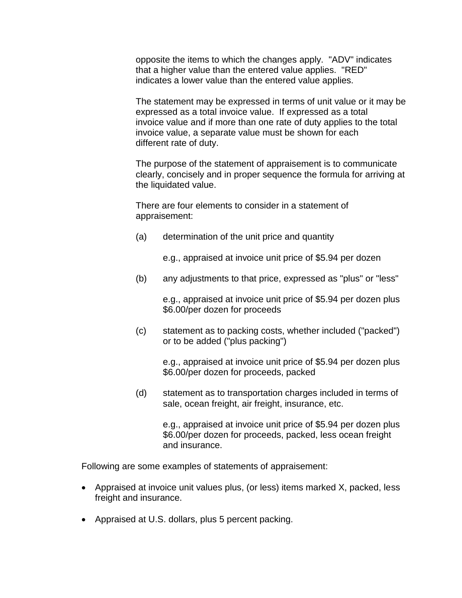opposite the items to which the changes apply. "ADV" indicates that a higher value than the entered value applies. "RED" indicates a lower value than the entered value applies.

The statement may be expressed in terms of unit value or it may be expressed as a total invoice value. If expressed as a total invoice value and if more than one rate of duty applies to the total invoice value, a separate value must be shown for each different rate of duty.

The purpose of the statement of appraisement is to communicate clearly, concisely and in proper sequence the formula for arriving at the liquidated value.

There are four elements to consider in a statement of appraisement:

(a) determination of the unit price and quantity

e.g., appraised at invoice unit price of \$5.94 per dozen

(b) any adjustments to that price, expressed as "plus" or "less"

e.g., appraised at invoice unit price of \$5.94 per dozen plus \$6.00/per dozen for proceeds

(c) statement as to packing costs, whether included ("packed") or to be added ("plus packing")

> e.g., appraised at invoice unit price of \$5.94 per dozen plus \$6.00/per dozen for proceeds, packed

(d) statement as to transportation charges included in terms of sale, ocean freight, air freight, insurance, etc.

> e.g., appraised at invoice unit price of \$5.94 per dozen plus \$6.00/per dozen for proceeds, packed, less ocean freight and insurance.

Following are some examples of statements of appraisement:

- Appraised at invoice unit values plus, (or less) items marked X, packed, less freight and insurance.
- Appraised at U.S. dollars, plus 5 percent packing.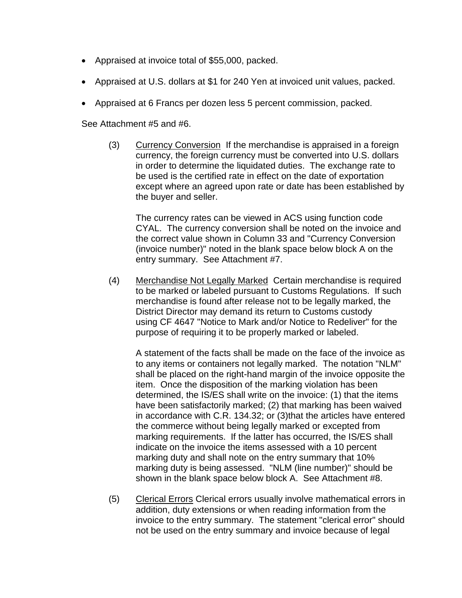- Appraised at invoice total of \$55,000, packed.
- Appraised at U.S. dollars at \$1 for 240 Yen at invoiced unit values, packed.
- Appraised at 6 Francs per dozen less 5 percent commission, packed.

See Attachment #5 and #6.

(3) Currency Conversion If the merchandise is appraised in a foreign currency, the foreign currency must be converted into U.S. dollars in order to determine the liquidated duties. The exchange rate to be used is the certified rate in effect on the date of exportation except where an agreed upon rate or date has been established by the buyer and seller.

The currency rates can be viewed in ACS using function code CYAL. The currency conversion shall be noted on the invoice and the correct value shown in Column 33 and "Currency Conversion (invoice number)" noted in the blank space below block A on the entry summary. See Attachment #7.

(4) Merchandise Not Legally Marked Certain merchandise is required to be marked or labeled pursuant to Customs Regulations. If such merchandise is found after release not to be legally marked, the District Director may demand its return to Customs custody using CF 4647 "Notice to Mark and/or Notice to Redeliver" for the purpose of requiring it to be properly marked or labeled.

A statement of the facts shall be made on the face of the invoice as to any items or containers not legally marked. The notation "NLM" shall be placed on the right-hand margin of the invoice opposite the item. Once the disposition of the marking violation has been determined, the IS/ES shall write on the invoice: (1) that the items have been satisfactorily marked; (2) that marking has been waived in accordance with C.R. 134.32; or (3)that the articles have entered the commerce without being legally marked or excepted from marking requirements. If the latter has occurred, the IS/ES shall indicate on the invoice the items assessed with a 10 percent marking duty and shall note on the entry summary that 10% marking duty is being assessed. "NLM (line number)" should be shown in the blank space below block A. See Attachment #8.

(5) Clerical Errors Clerical errors usually involve mathematical errors in addition, duty extensions or when reading information from the invoice to the entry summary. The statement "clerical error" should not be used on the entry summary and invoice because of legal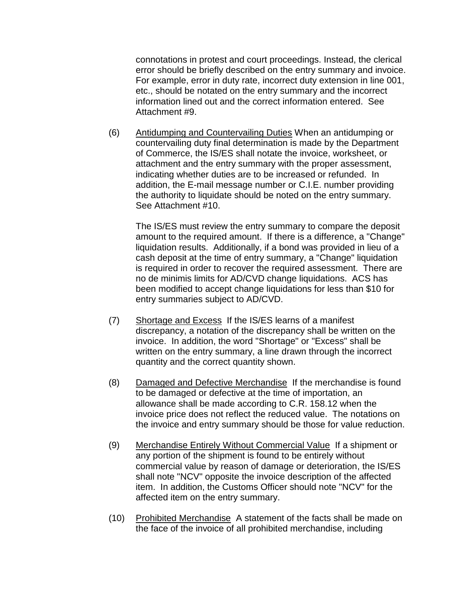connotations in protest and court proceedings. Instead, the clerical error should be briefly described on the entry summary and invoice. For example, error in duty rate, incorrect duty extension in line 001, etc., should be notated on the entry summary and the incorrect information lined out and the correct information entered. See Attachment #9.

(6) Antidumping and Countervailing Duties When an antidumping or countervailing duty final determination is made by the Department of Commerce, the IS/ES shall notate the invoice, worksheet, or attachment and the entry summary with the proper assessment, indicating whether duties are to be increased or refunded. In addition, the E-mail message number or C.I.E. number providing the authority to liquidate should be noted on the entry summary. See Attachment #10.

The IS/ES must review the entry summary to compare the deposit amount to the required amount. If there is a difference, a "Change" liquidation results. Additionally, if a bond was provided in lieu of a cash deposit at the time of entry summary, a "Change" liquidation is required in order to recover the required assessment. There are no de minimis limits for AD/CVD change liquidations. ACS has been modified to accept change liquidations for less than \$10 for entry summaries subject to AD/CVD.

- (7) Shortage and Excess If the IS/ES learns of a manifest discrepancy, a notation of the discrepancy shall be written on the invoice. In addition, the word "Shortage" or "Excess" shall be written on the entry summary, a line drawn through the incorrect quantity and the correct quantity shown.
- (8) Damaged and Defective Merchandise If the merchandise is found to be damaged or defective at the time of importation, an allowance shall be made according to C.R. 158.12 when the invoice price does not reflect the reduced value. The notations on the invoice and entry summary should be those for value reduction.
- (9) Merchandise Entirely Without Commercial Value If a shipment or any portion of the shipment is found to be entirely without commercial value by reason of damage or deterioration, the IS/ES shall note "NCV" opposite the invoice description of the affected item. In addition, the Customs Officer should note "NCV" for the affected item on the entry summary.
- (10) Prohibited Merchandise A statement of the facts shall be made on the face of the invoice of all prohibited merchandise, including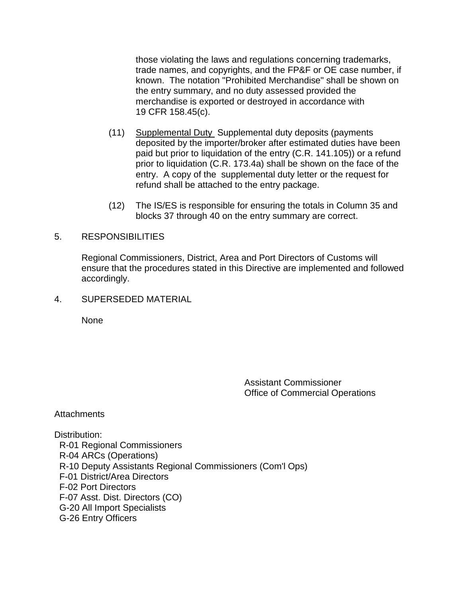those violating the laws and regulations concerning trademarks, trade names, and copyrights, and the FP&F or OE case number, if known. The notation "Prohibited Merchandise" shall be shown on the entry summary, and no duty assessed provided the merchandise is exported or destroyed in accordance with 19 CFR 158.45(c).

- (11) Supplemental Duty Supplemental duty deposits (payments deposited by the importer/broker after estimated duties have been paid but prior to liquidation of the entry (C.R. 141.105)) or a refund prior to liquidation (C.R. 173.4a) shall be shown on the face of the entry. A copy of the supplemental duty letter or the request for refund shall be attached to the entry package.
- (12) The IS/ES is responsible for ensuring the totals in Column 35 and blocks 37 through 40 on the entry summary are correct.

## 5. RESPONSIBILITIES

Regional Commissioners, District, Area and Port Directors of Customs will ensure that the procedures stated in this Directive are implemented and followed accordingly.

4. SUPERSEDED MATERIAL

None

Assistant Commissioner Office of Commercial Operations

## **Attachments**

Distribution:

 R-01 Regional Commissioners R-04 ARCs (Operations) R-10 Deputy Assistants Regional Commissioners (Com'l Ops) F-01 District/Area Directors F-02 Port Directors F-07 Asst. Dist. Directors (CO) G-20 All Import Specialists G-26 Entry Officers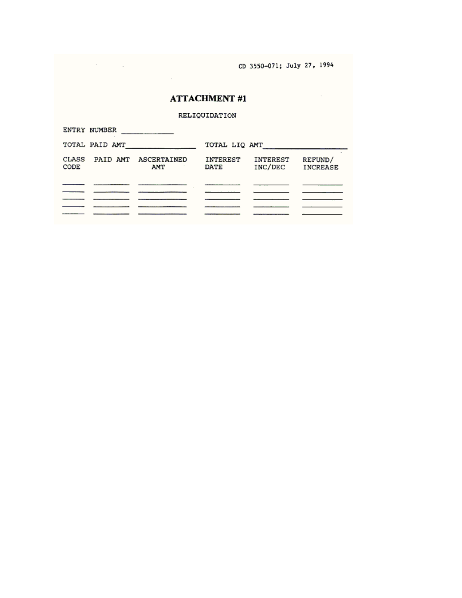$\sim$ CD 3550-071; July 27, 1994  $\mathcal{L}_{\mathcal{A}}$ **ATTACHMENT #1** RELIQUIDATION ENTRY NUMBER CLASS PAID AMT ASCERTAINED INTEREST REFUND/ INTEREST INC/DEC CODE AMT **DATE INCREASE**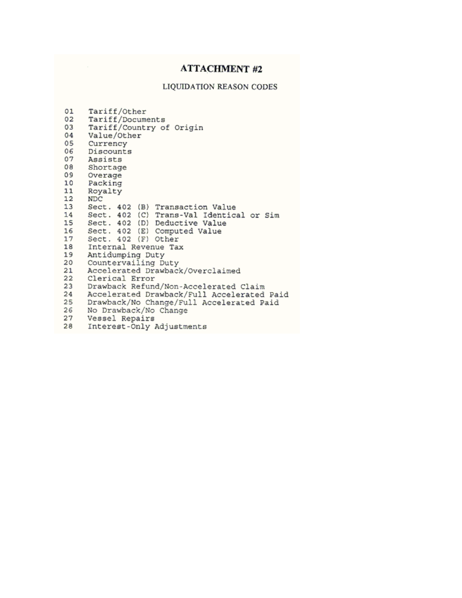# **ATTACHMENT #2**

# LIQUIDATION REASON CODES

| 01 | Tariff/Other                               |
|----|--------------------------------------------|
| 02 | Tariff/Documents                           |
| 03 | Tariff/Country of Origin                   |
| 04 | Value/Other                                |
| 05 | Currency                                   |
| 06 | Discounts                                  |
| 07 | Assists                                    |
| 08 | Shortage                                   |
| 09 | Overage                                    |
| 10 | Packing                                    |
| 11 | Royalty                                    |
| 12 | NDC                                        |
| 13 | Sect. 402 (B) Transaction Value            |
| 14 | Sect. 402 (C) Trans-Val Identical or Sim   |
| 15 | Sect. 402 (D) Deductive Value              |
| 16 | Sect. 402 (E) Computed Value               |
| 17 | Sect. 402 (F) Other                        |
| 18 | Internal Revenue Tax                       |
| 19 | Antidumping Duty                           |
| 20 | Countervailing Duty                        |
| 21 | Accelerated Drawback/Overclaimed           |
| 22 | Clerical Error                             |
| 23 | Drawback Refund/Non-Accelerated Claim      |
| 24 | Accelerated Drawback/Full Accelerated Paid |
| 25 | Drawback/No Change/Full Accelerated Paid   |
| 26 | No Drawback/No Change                      |
| 27 | Vessel Repairs                             |
| 28 | Interest-Only Adjustments                  |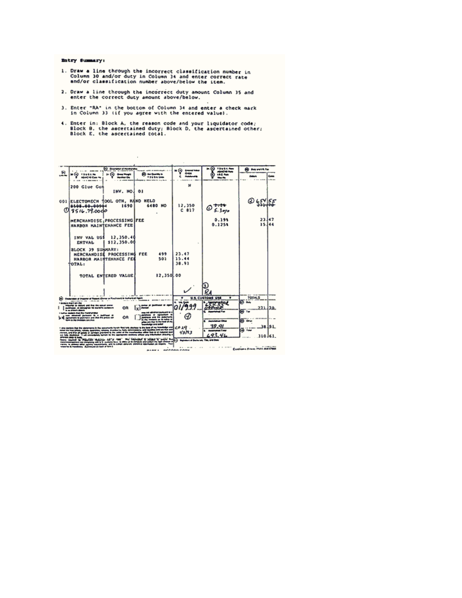- 1. Draw a line through the incorrect classification number in<br>Column 30 and/or duty in Column 34 and enter correct rate<br>and/or classification number above/below the item.
- 2. Draw a line through the incorrect duty amount Column 15 and<br>enter the correct duty amount above/below.
- 3. Enter "RA" in the bottom of Column 34 and enter a check mark<br>in Column 33 (if you agree with the entered value).
- 4. Enter in: Block A, the reason code and your liquidator code;<br>Block B, the ascertained duty; Block D, the ascertained other;<br>Block E, the ascertained total.

| (c) description of the state                                                                 | -0<br><b>Greenst Volum</b>                 | <b>TEMEA Res</b>                   | <b>B</b> Present for    |  |
|----------------------------------------------------------------------------------------------|--------------------------------------------|------------------------------------|-------------------------|--|
| <b>C. L.C. B. ANNUARY R</b><br>١O<br>мбаника<br>$100$ denotes<br>(ii) <del>au Quain, a</del> | <b>Contrak</b>                             | <b>ABACAS Aug</b><br><b>IAC Am</b> |                         |  |
| محمد<br><b>FEURA UM</b><br><b>NOWERS CAN THE</b><br><b>Municipal City</b>                    |                                            | $\bullet$<br>$-1$                  | حصا                     |  |
| a se premierno del                                                                           |                                            |                                    |                         |  |
|                                                                                              | N                                          |                                    |                         |  |
| 200 Glue Gun                                                                                 |                                            |                                    |                         |  |
| INV. NO 01                                                                                   |                                            |                                    |                         |  |
|                                                                                              |                                            |                                    |                         |  |
| 001 ELECTOMECH TOOL OTH, HAND HELD                                                           |                                            |                                    | $\omega$                |  |
| 6480 NO<br>8408.80.00904<br>1690                                                             | 12,350                                     | -222                               |                         |  |
|                                                                                              |                                            | 0                                  |                         |  |
| 0.9516.79.0000                                                                               | $C$ $B17$                                  | $5.3$ oyo                          |                         |  |
|                                                                                              |                                            |                                    |                         |  |
| HERCHANDISE, PROCESSING FEE                                                                  |                                            | 0.191                              | 23 47                   |  |
|                                                                                              |                                            | 0.1251                             | 15344                   |  |
| HARBOR MAINTENANCE FEE                                                                       |                                            |                                    |                         |  |
|                                                                                              |                                            |                                    |                         |  |
|                                                                                              |                                            |                                    |                         |  |
| INV VAL USS 12,350.40                                                                        |                                            |                                    |                         |  |
| \$12,350.00<br><b>ENTVAL</b>                                                                 |                                            |                                    |                         |  |
|                                                                                              |                                            |                                    |                         |  |
| BLOCK 39 SUMMARY:                                                                            |                                            |                                    |                         |  |
| MERCHANDISE PROCESSING FEE<br>499                                                            | 23.47                                      |                                    |                         |  |
| 501<br>HARBOR MAINTENANCE FEI                                                                | 15.44                                      |                                    |                         |  |
| <b>TOTAL:</b>                                                                                | 38.91                                      |                                    |                         |  |
|                                                                                              |                                            |                                    |                         |  |
|                                                                                              |                                            |                                    |                         |  |
| TOTAL ENTERED VALUE                                                                          | 12,350,00                                  |                                    |                         |  |
|                                                                                              |                                            |                                    |                         |  |
|                                                                                              |                                            |                                    |                         |  |
|                                                                                              |                                            |                                    |                         |  |
|                                                                                              |                                            |                                    |                         |  |
| <b>SA 2 1 000</b>                                                                            |                                            |                                    |                         |  |
| i li Auffartief Pale                                                                         |                                            | U.S. CUSTOMS USE                   | <b>ED BA</b>            |  |
| company of the state<br>$-100$ and $-100$                                                    |                                            |                                    |                         |  |
| and and that the senset prove<br><b>CONTRACTOR AUGUST</b>                                    |                                            |                                    |                         |  |
| ÓR<br>I۷                                                                                     |                                            |                                    | 221,30<br>$0 -$         |  |
| -----<br>d motors in a mother is                                                             |                                            |                                    |                         |  |
| OR<br>Pat Pa prize tot<br><b>I'm punitake and</b>                                            | Θ                                          |                                    |                         |  |
|                                                                                              |                                            | <b>Jacksond Class</b>              | $(0)$ and               |  |
|                                                                                              |                                            | 39. AI                             |                         |  |
|                                                                                              | $CFLG$ .                                   |                                    | ت ہے                    |  |
|                                                                                              | 4513                                       |                                    |                         |  |
|                                                                                              |                                            |                                    | 310 161.<br>111.10      |  |
|                                                                                              | <b>Registers of Dealership This, and I</b> |                                    |                         |  |
| a la Postellante - Al promunet un haste of farm                                              | .                                          |                                    |                         |  |
| BIRT : REPARK FANT                                                                           |                                            |                                    | Evelope Form FUILMETHOL |  |
|                                                                                              |                                            |                                    |                         |  |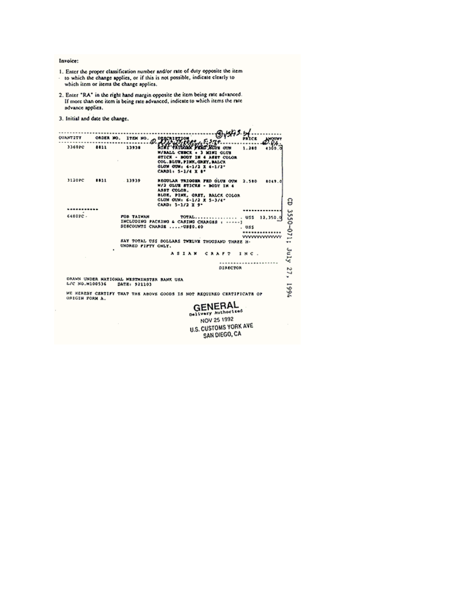- 1. Enter the proper classification number and/or rate of duty opposite the item  $\cdot$  to which the change applies, or if this is not possible, indicate clearly to which item or items the change applies.
- 2. Enter "RA" in the right hand margin opposite the item being rate advanced. If more than one item is being rate advanced, indicate to which items the rate advance applies.
- 3. Initial and date the change.

|                                                                                                                                                     | ORDER MO. | ITEM NO.                                                  |                                                                                                                                                                                  |         |             |
|-----------------------------------------------------------------------------------------------------------------------------------------------------|-----------|-----------------------------------------------------------|----------------------------------------------------------------------------------------------------------------------------------------------------------------------------------|---------|-------------|
| 3360PC                                                                                                                                              | 4611      | 13938                                                     | <b>THE FILM</b> 2<br><b>SCUT CURE</b><br>W/BALL CHECK . 3 MINI GLUE<br>STICK - BODY IN 4 ASST COLOR<br>COL.BLUE.PINK.COUY.BALCK<br>GLUM GUM: 4-1/2 X 4-1/2*<br>CARD1: 5-1/4 X 8* | 1.260   |             |
| 3120PC                                                                                                                                              |           | 13939                                                     | REGULAR TRIOGER FED GLUE GUN 2.580<br>W/2 OLUE STICKS - BODY IN 4<br>ASST COLOR.<br>BLUE, PINK, GRST, BALCK COLOR<br>GLUM OUN: 6-1/2 X 5-3/4"<br>CARD: 5-1/2 X 9*                | 8049.0  | ខ           |
|                                                                                                                                                     |           |                                                           |                                                                                                                                                                                  |         | 3550-07     |
| 6480PC -<br>FOR TAINAN<br><b>TOTAL</b><br>uss<br>12.350<br>INCLUDING PACKING & CASING CHARGES : )<br>DISCOUNTS CHARGE - 0350.40<br>. USS<br>wwwwwww |           |                                                           |                                                                                                                                                                                  |         |             |
|                                                                                                                                                     |           | UNDRED FIFTY ONLY.                                        | SAY TOTAL US\$ DOLLARS TWELVE THOUSAND THREE H-                                                                                                                                  |         | e.<br>      |
|                                                                                                                                                     |           |                                                           | <b>A S I A W</b><br>C X X F T                                                                                                                                                    | 1 м с . | Jul<br>÷.   |
|                                                                                                                                                     |           |                                                           |                                                                                                                                                                                  |         |             |
|                                                                                                                                                     |           |                                                           | DIRECTOR                                                                                                                                                                         |         | N<br>Ŵ<br>÷ |
| L/C NO.H100536                                                                                                                                      |           | DRAWN UNDER NATIONAL MESTMINSTER BANK USA<br>DATE: 921103 |                                                                                                                                                                                  |         |             |
| ORIGIN FORM A.                                                                                                                                      |           |                                                           | WE HEREBY CERTIFY THAT THE ABOVE GOODS IS NOT REQUIRED CERTIFICATE OF                                                                                                            |         | 7661        |
|                                                                                                                                                     |           |                                                           | <b>GENERAL</b><br>Delivery Authorized<br>NOV 25 1992                                                                                                                             |         |             |
|                                                                                                                                                     |           |                                                           | <b>U.S. CUSTOMS YORK AVE</b><br>SAN DIEGO, CA                                                                                                                                    |         |             |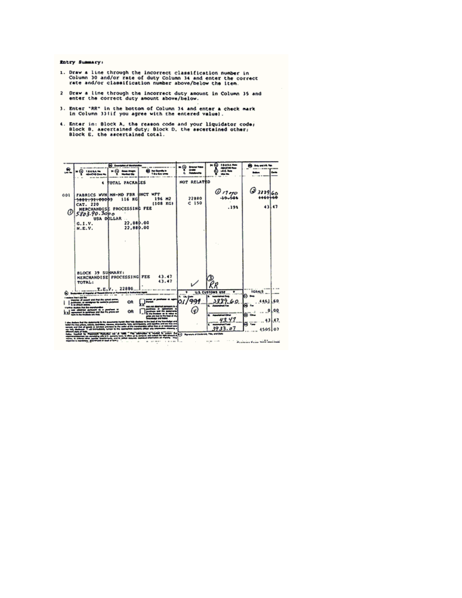- 1. Draw a line through the incorrect classification number in<br>Column 30 and/or rate of duty Column 34 and enter the correct<br>rate and/or classification number above/below the item.
- 2 Draw a line through the incorrect duty amount in Column 35 and<br>enter the correct duty amount above/below.
- 3. Enter "RR" in the bottom of Column 34 and enter a check mark<br>In Column 33(if you agree with the entered value).
- 4. Enter in: Block A, the reason code and your liquidator code;<br>Block B, ascertained duty: Block D, the ascertained other;<br>Block E, the ascertained total.

|     | short'vi dun m                                                                 | ω.<br>$-6 = 2$                           | <b>I BU BA UM</b>         | -⊗ ±<br>ė.       | <b>I GIFRA Am</b><br><b>MARINE ROOM</b> | <b>But and the face</b>                |
|-----|--------------------------------------------------------------------------------|------------------------------------------|---------------------------|------------------|-----------------------------------------|----------------------------------------|
|     |                                                                                | <b>4 FOTAL PACKAGES</b>                  |                           | NOT RELATED      |                                         |                                        |
| cot | <b>FABRICS WVN HN-HD FBR UNCT WFT</b><br><del>5801.31.00</del> 093<br>CAT. 220 | 116 KG                                   | 196 MZ<br><b>1108 KGI</b> | 22880<br>$C$ 150 | $0.1$ mo                                | ++6++60                                |
| a   | 5803.90.3000                                                                   | HERCHANDISE PROCESSING FEE<br>USA DOLLAR |                           |                  | .191                                    | 43147                                  |
|     | G.1.7.<br>H.E.V.                                                               | 22,880.00<br>22,880.00                   |                           |                  |                                         |                                        |
|     |                                                                                |                                          |                           |                  |                                         |                                        |
|     |                                                                                |                                          |                           |                  |                                         |                                        |
|     |                                                                                |                                          |                           |                  |                                         |                                        |
|     | BLOCK 39 SUMMARY:<br><b>NERCHANDISE PROCESSING FEE</b><br>TOTAL:               |                                          | 43.47<br>43.47            |                  |                                         |                                        |
|     |                                                                                | T.E.V. 22880                             |                           |                  | U.S. CUSTOMS USE                        | <b>TOTALS</b>                          |
|     |                                                                                | <b>OR</b>                                |                           | sı 1994          | 60                                      | 4461160                                |
|     |                                                                                | OR                                       |                           | ω                |                                         | 9000                                   |
|     |                                                                                |                                          |                           |                  |                                         | 1.42<br>4505 07                        |
|     |                                                                                |                                          |                           |                  | <b>Bridge Council</b> y                 | Production Andrew Additional Institute |
|     |                                                                                |                                          |                           |                  |                                         |                                        |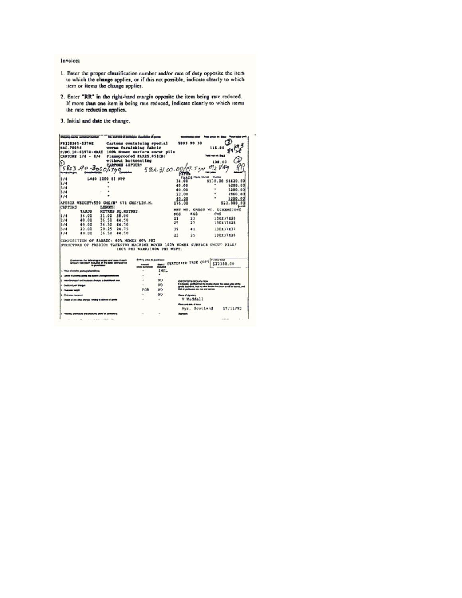- 1. Enter the proper classification number and/or rate of duty opposite the item to which the change applies, or if this not possible, indicate clearly to which item or items the change applies.
- 2. Enter "RR" in the right-hand margin opposite the item being rate reduced. If more than one item is being rate reduced, indicate clearly to which items the rate reduction applies.
- 3. Initial and date the change.

| <b>In and was of past</b>                                                                                              | حسرك فكالمنازعة                                                                        |                                       | <b>Polar dealer of</b>                   |
|------------------------------------------------------------------------------------------------------------------------|----------------------------------------------------------------------------------------|---------------------------------------|------------------------------------------|
| <b>FR120145-5170E</b><br><b>BAC.70094</b><br>P/RO.10-61978-10JJX                                                       | Cartons containing special<br>woren furnishing fabric<br>100% Homez surface uncut pile | 5803 90 30                            | 116.00                                   |
| CARTONS 1/4 - 4/4<br>without backcoating                                                                               | Plamsproofed PAR25.053(B)                                                              |                                       |                                          |
| m.<br><b>CARTONS 48FOURS</b>                                                                                           |                                                                                        |                                       | 100.00                                   |
| 5803.90.3000/1700                                                                                                      |                                                                                        | 5801.31.00.00/19.<br>5.00<br>Parties. | $m2$ $v5$                                |
| 134<br>LM40 1000 89 NPP                                                                                                |                                                                                        | <b>YARDS PM</b><br>14.46              | \$130.00 \$4420.00                       |
| 1/4                                                                                                                    |                                                                                        | 40.00                                 | 5200.00                                  |
| 1/4<br>3/4                                                                                                             |                                                                                        | 40.00                                 | 5200.00                                  |
| 474                                                                                                                    |                                                                                        | 22.00                                 | 2860.00                                  |
|                                                                                                                        |                                                                                        | 49.00                                 | 5200.00                                  |
| APPROX WEIGHT:550 GMS/M* 671 GMS/LIN.M.<br><b>CARTONS</b>                                                              |                                                                                        | 176.00                                | \$22,880.00                              |
| LENGTH<br><b>TARDS</b><br>METRES SO.METRES                                                                             |                                                                                        |                                       | NET NT. GROSS NT. DINXNSIONS             |
| 34.00<br>1/4<br>31.00<br>38.00                                                                                         |                                                                                        | KGS<br><b>XGS</b>                     | CMS                                      |
| 36.50<br>214<br>40.00<br>44.50                                                                                         |                                                                                        | 21<br>23                              | 130837826                                |
| 36.50<br>3/4<br>40.00<br>44.50                                                                                         |                                                                                        | 25<br>27                              | 130x37x18                                |
| 22.00<br>20.25<br>24.75<br>3.74                                                                                        |                                                                                        | 39<br>                                | 130X37X37                                |
| 36.50<br>44.50<br>1/4<br>40.00                                                                                         |                                                                                        | 23<br>25                              | 130x37x36                                |
| CONFORTTION OF PABRIC: 60% NOMES 40% PBI<br>STRUCTURE OF PABRIC: TAPESTRY NACHINE WOVER 100% NOMER SURFACE UNCUT PILE/ |                                                                                        |                                       |                                          |
|                                                                                                                        | 100% PBI WARP/100% PBI MEFT.                                                           |                                       |                                          |
| and men if only<br>corner the Ambroire of the products of each<br>art has been included in the west wating price       | re artist to punchase                                                                  | Port CERTIFIED TRUE COPY              | \$22380.00                               |
| <b>N</b> purchase                                                                                                      | <b><i><u>Standard</u></i></b>                                                          |                                       |                                          |
| 1. Your of suche perhapsitor                                                                                           |                                                                                        | INCL                                  |                                          |
| a in positivy giants late au                                                                                           | ٠                                                                                      |                                       |                                          |
| and stategest and bunatures ghosped is A                                                                               | NO                                                                                     | <b>CIPONTERS ORD. My TEM</b><br>----- | at that the booten shares the second at  |
| <b>Craft and post shariped</b>                                                                                         | <b>MO</b>                                                                              |                                       | ng pikat bagian kay kacas ay siti isa iy |
| Customs boyle                                                                                                          | POB<br>МŮ<br>HO                                                                        |                                       |                                          |
|                                                                                                                        | $\mathbf{a}_i$                                                                         | <b>Hara d Ayutor</b><br>V Maddall     |                                          |
| lah, al ara abus ahargas nitabig ta dalining al g                                                                      |                                                                                        | Place and state of them               |                                          |
|                                                                                                                        |                                                                                        | Ayr. Scotiand                         | 17/11/92                                 |
|                                                                                                                        |                                                                                        |                                       |                                          |
| www.catalogue.com                                                                                                      |                                                                                        |                                       | $= 1.35$                                 |
|                                                                                                                        |                                                                                        |                                       |                                          |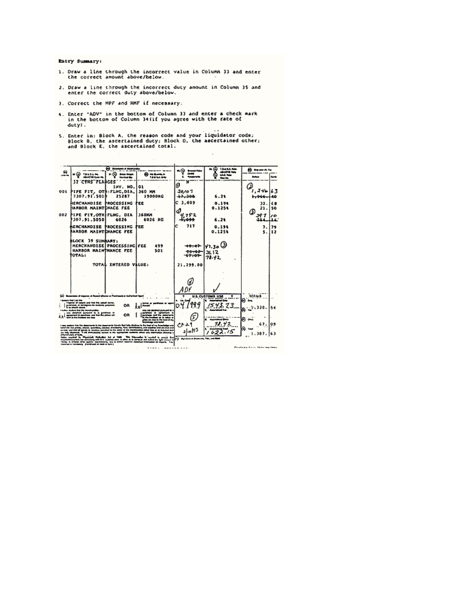- 1. Draw a line through the incorrect value in Column 33 and enter<br>the correct amount above/below.
- 2. Draw a line through the incorrect duty amount in Column 35 and<br>enter the correct duty above/below.
- ). Correct the MPF and HMF if necessary.
- 4. Enter "ADV" in the bottom of Column 13 and enter a check mark<br>in the bottom of Column 34 (if you agree with the rate of duty).
- 5. Enter in: Block A, the reason code and your liquidator code;<br>Block B, the ascertained duty; Block D, the ascertained other;<br>and Block E, the ascertained total.

| ₩<br><b>Service</b> | <b><i>FRUSA</i></b><br>ABACTER CALL INC.                                                                                                                             | $RQ = 1$                    | <b>60-mars</b><br><b><i><u>ENSA WAL</u></i></b> | -0                                             | <b>LEWIS CO., LANSING</b><br>بعدة والإنطور<br><b>UNC PUB</b><br>O<br>$-$ | <b>B</b> homin's<br>$\overline{\phantom{a}}$ | $\overline{\phantom{a}}$                     |
|---------------------|----------------------------------------------------------------------------------------------------------------------------------------------------------------------|-----------------------------|-------------------------------------------------|------------------------------------------------|--------------------------------------------------------------------------|----------------------------------------------|----------------------------------------------|
|                     | 12 CYNS FLANCES<br>001 PIPE FIT, OTH: FLNG, DIA, 360 MM<br>7307.91.5010<br>HERCHANDISE PROCESSING FEE<br><b>BARBOR HAINTENACE FEE</b><br>002 PIPE FIT, OTH FLNG, DIA | <b>18V. NO. 01</b><br>25287 | 19000KG<br><b>360KH</b>                         | 6<br>20,101<br>$+2,300$<br>C 3,009<br>â<br>182 | 6.21<br>0.199<br>0.1251                                                  | $-746$<br><br>32.<br>21.<br>ග<br>20 T        | 14 Y<br>£8<br>50<br>$\overline{\phantom{a}}$ |
|                     | 1307.91.5050 <br><b>ERCHANDISE PROCESSING FEE</b><br>HARBOR HAINTENANCE FEE<br><b>BLOCK 39 SUMMARY:</b>                                                              | 6026                        | 6026 KG                                         | ,,,                                            | 6.21<br>0.191<br>0.1251                                                  | ν.<br>5.                                     | TT.<br>179<br>$\overline{12}$                |
|                     | HERCHANDISE PROCESSING FEE<br>HARBOR MAINTHANCE FEE<br><b>TOTAL:</b>                                                                                                 | TOTAL ENTERED VALUE:        | 499<br>501                                      | 26.62<br>$-67 - 09 -$<br>21.299.00             | $+0.47$ $y_{7.30}$ $\circ$<br>31.12<br>71.42.                            |                                              |                                              |
|                     |                                                                                                                                                                      |                             |                                                 | $\mathcal{U}$<br>ADY                           |                                                                          |                                              |                                              |
|                     | Part an Pa<br>-----<br><b>Continued on lead or home in</b>                                                                                                           | OR<br>ÓR                    | تقامية                                          | 996<br>s,<br>ረዶት ነ<br>210873                   | U.S. CUSTOMS USE                                                         | <b>IOFALS</b><br>.120.<br>67.<br>. 387.      | 09                                           |
|                     |                                                                                                                                                                      |                             |                                                 | <b></b>                                        |                                                                          | Postene form Step mechan                     |                                              |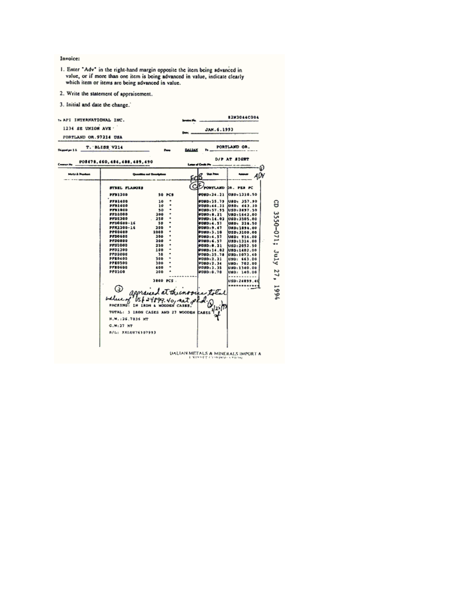- I. Enter "Adv" in the right-hand margin opposite the item being advanced in value, or if more than one item is being advanced in value, indicate clearly which item or items are being advanced in value.
- 2. Write the statement of appraisement.
- 3. Initial and date the change."

| 1. API INTERNATIONAL INC. |                                                                                                                                                                                                                                                                                                                                                                                                                                                                             |                                                                                                                                                                                                                |                                   |                                                                                                                                                                                                                                                                                                                       | <b>B2W3044C004</b>                                                                                                                                                                                                                                                                                                  |                                      |
|---------------------------|-----------------------------------------------------------------------------------------------------------------------------------------------------------------------------------------------------------------------------------------------------------------------------------------------------------------------------------------------------------------------------------------------------------------------------------------------------------------------------|----------------------------------------------------------------------------------------------------------------------------------------------------------------------------------------------------------------|-----------------------------------|-----------------------------------------------------------------------------------------------------------------------------------------------------------------------------------------------------------------------------------------------------------------------------------------------------------------------|---------------------------------------------------------------------------------------------------------------------------------------------------------------------------------------------------------------------------------------------------------------------------------------------------------------------|--------------------------------------|
| 1234 SE UNION AVE '       |                                                                                                                                                                                                                                                                                                                                                                                                                                                                             |                                                                                                                                                                                                                |                                   | JAN.6.1993                                                                                                                                                                                                                                                                                                            |                                                                                                                                                                                                                                                                                                                     |                                      |
| PORTLAND OR. 97214 USA    |                                                                                                                                                                                                                                                                                                                                                                                                                                                                             |                                                                                                                                                                                                                |                                   |                                                                                                                                                                                                                                                                                                                       |                                                                                                                                                                                                                                                                                                                     |                                      |
|                           | T. BLISS V214                                                                                                                                                                                                                                                                                                                                                                                                                                                               |                                                                                                                                                                                                                | <b>DALLAN</b>                     |                                                                                                                                                                                                                                                                                                                       | PORTLAND OR.                                                                                                                                                                                                                                                                                                        |                                      |
|                           | POI478.460,484,488.489,490                                                                                                                                                                                                                                                                                                                                                                                                                                                  |                                                                                                                                                                                                                | Laine of Couth Ma                 |                                                                                                                                                                                                                                                                                                                       | D/P AT SIGHT                                                                                                                                                                                                                                                                                                        |                                      |
| Mutz & Product            | استی است و بیشتر                                                                                                                                                                                                                                                                                                                                                                                                                                                            |                                                                                                                                                                                                                |                                   | the Pres                                                                                                                                                                                                                                                                                                              |                                                                                                                                                                                                                                                                                                                     |                                      |
|                           | STEEL FLANGES                                                                                                                                                                                                                                                                                                                                                                                                                                                               |                                                                                                                                                                                                                | c                                 |                                                                                                                                                                                                                                                                                                                       | PORTLAND OR. PER PC                                                                                                                                                                                                                                                                                                 |                                      |
|                           | <b>PFB1200</b><br><b>PFB1400</b><br><b>PTB1600</b><br><b>PFB1800</b><br><b>PPD1000</b><br><b>PFD1200</b><br><b>PFD0600-16</b><br><b>PFR1200-16</b><br><b>PP90400</b><br><b>PPD0600</b><br>PFD0800<br><b>PPD1000</b><br>PFD1200<br><b>PF02000</b><br><b>PPE0400</b><br><b>PPE0500</b><br><b>PFE0600</b><br><b>PP0100</b><br>apor<br>PACKING: IN IRON & MOODEN CASES.<br>TOTAL: 3 IRON CASES AND 27 WOODEN CASES<br>N.W.:26.7836 NT<br><b>G.M.17 KT</b><br>B/L: XXLU876107993 | 50 PCS<br>10<br>۰<br>10<br>۰<br>50<br>200<br>٠<br>250<br>٠<br>50<br>300<br>1000<br>٠<br>200<br>٠<br>260<br>250<br>٠<br>۰<br>100<br>٠<br>30<br>300<br>300<br>۰<br>400<br>200<br>3800 PCS .<br>$99.40,$ ret $p4$ | datthecoroces tolal               | <b>POED:24.21</b><br><b>FUED</b> : 35.79<br>908D:46.31<br><b>COBD: 57.95</b><br><b>FOBD</b> : 0.21<br>995D: 14.03<br>008014.57<br><b>QUAD: 9.47</b><br><b>PUSD.3.10</b><br>$008D+4.57$<br><b>ROBD: 6.57</b><br>00SD:0.21<br>@D8D:14.02<br>008D:15.78<br>008D+2.21<br>908012.34<br>005D <sub>1</sub> 3.35<br>908010.70 | 080-1310.50<br>UBD: 357.90<br><b>050: 463.10</b><br>USD:2497.50<br>UBD:1642.00<br>060:3505.00<br>OBD: 338.50<br><b>USD:1894.00</b><br>050, 3100.00<br>U8D: 914.00<br>USD:1314.00<br>USD: 2052.50<br>USD:1402.00<br>030, 1073.40<br>USD: 663.00<br>USD: 702.00<br>USD:1340.00<br>USD: 140.00<br><br>USD:24899.40<br> | ទ<br>3550-071;<br>July<br>27<br>7994 |
|                           |                                                                                                                                                                                                                                                                                                                                                                                                                                                                             |                                                                                                                                                                                                                | <b>LATS SET 4 Y SUPPLY STRONG</b> |                                                                                                                                                                                                                                                                                                                       | <b>UALIAN METALS &amp; MINERALS IMPORT &amp;</b>                                                                                                                                                                                                                                                                    |                                      |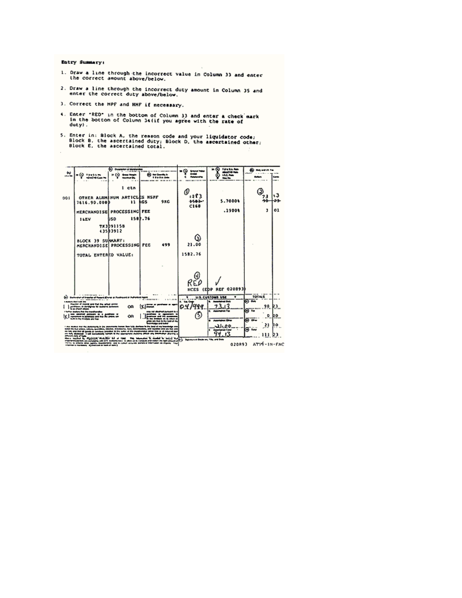- 1. Oraw a line through the incorrect value in Column 33 and enter the correct amount above/below.
- 2. Draw a line through the incorrect duty amount in Column 35 and<br>enter the correct duty above/below.
- ). Correct the MPF and HMF if necessary.
- 4. Enter "RED" in the bottom of Column 33 and enter a check mark<br>In the bottom of Column 34(if you agree with the rate of duty).
- 5. Enter in: Block A, the reason code and your liquidator code;<br>Block B, the ascertained duty; Block D, the ascertained other;<br>Block E, the ascertained total.

| ₩<br><b>IFA THE</b> | $P(\lambda)$ is the set of $\lambda$                                   | ⊙⊶<br>H (i)                                | ⊛⊷⊶               | $\blacksquare$ $\lhd$ there is no<br>$-64$<br>c | <b>FAMILA FOR</b><br><b>MACVO PUIS</b><br>O<br><b>IAC PUB</b> | <b>O</b> <del>Mini</del> te M<br>$100 - 100$ |
|---------------------|------------------------------------------------------------------------|--------------------------------------------|-------------------|-------------------------------------------------|---------------------------------------------------------------|----------------------------------------------|
|                     | NONEYO CAN IN                                                          | ے سے                                       |                   |                                                 | $\sim$                                                        |                                              |
|                     |                                                                        | l ctn                                      |                   |                                                 |                                                               |                                              |
|                     |                                                                        | OTHER ALUM NUM ARTICLES HSPP               |                   | 12 F 3                                          |                                                               | ۱J                                           |
| 001                 | 7616.90.0080                                                           | п                                          | kCS<br><b>98G</b> | $+500 -$                                        | 5.70004                                                       |                                              |
|                     |                                                                        |                                            |                   | C168                                            |                                                               |                                              |
|                     | HERCHANDISE PROCESSING FEE                                             |                                            |                   |                                                 | .19001                                                        | 01<br>J                                      |
|                     | <b>ILEV</b>                                                            | uso                                        | 1582.76           |                                                 |                                                               |                                              |
|                     |                                                                        | <b>TX309115B</b>                           |                   |                                                 |                                                               |                                              |
|                     |                                                                        | 43583912                                   |                   |                                                 |                                                               |                                              |
|                     |                                                                        |                                            |                   | Ω                                               |                                                               |                                              |
|                     | BLOCK 39 SUNNARY:                                                      |                                            |                   |                                                 |                                                               |                                              |
|                     | MERCHANDISE PROCESSING PEE                                             |                                            | 499               | 21.00                                           |                                                               |                                              |
|                     | TOTAL ENTERED VALUE:                                                   |                                            |                   | 1582.76                                         |                                                               |                                              |
|                     |                                                                        |                                            |                   | U<br>HCES                                       | (EDP REF 020893                                               |                                              |
|                     |                                                                        | a Funksiol II Adhenet han                  |                   | ٠                                               | U.S. CUSTOMS USE                                              | <b>TOTALS</b>                                |
|                     | $\overline{\phantom{a}}$<br>, at comes and that this called genre      |                                            |                   |                                                 |                                                               | 6) <del>an</del>                             |
|                     |                                                                        | ۵n                                         | I۴                | 04/999                                          |                                                               | 29.<br>ை                                     |
|                     | n Pat be insulare<br>control persons in a<br>so are the five press, so | ٥n                                         |                   | D                                               |                                                               | 0 <sub>0</sub>                               |
|                     | ---                                                                    |                                            |                   |                                                 | Australian City                                               | ை                                            |
|                     |                                                                        |                                            |                   |                                                 | مهالد                                                         | $\overline{u}$<br>$1 - 1$<br>$\bullet$       |
|                     | a last <del>included</del> to                                          |                                            |                   |                                                 |                                                               | 111<br>93                                    |
|                     | with marketing. All contract on both of same is                        | <b>In the Nice and Actual Memorial Inf</b> |                   | <b>Supervisor Sections, Filip and Date</b>      | 020893                                                        | $\lambda$ TTY - IN - FAC                     |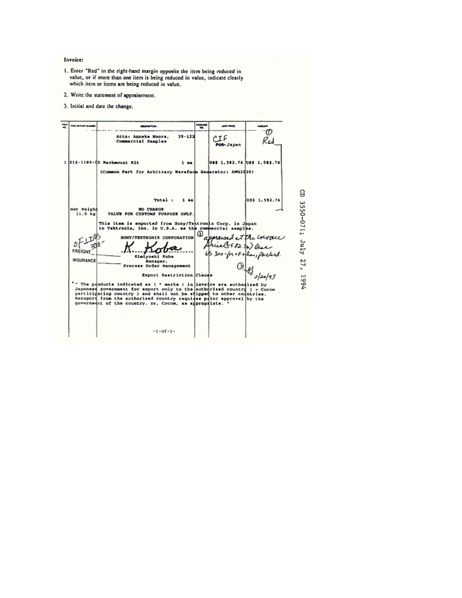- 1. Enter "Red" in the right-hand margin opposite the item being reduced in value, or if more than one item is being reduced in value, indicate clearly which item or items are being reduced in value.
- 2. Write the statement of appraisement.
- 3. Initial and date the change.

| of Eng<br>w. | <b>THE OR PHAINS</b>        | <b>DESCRIPTION</b>                                                                                                                                                                                                                                                                                                                                                                                                                                                                                                                                                                                             | يبوب | <b>WANT PRICE</b>                |                                                                             |
|--------------|-----------------------------|----------------------------------------------------------------------------------------------------------------------------------------------------------------------------------------------------------------------------------------------------------------------------------------------------------------------------------------------------------------------------------------------------------------------------------------------------------------------------------------------------------------------------------------------------------------------------------------------------------------|------|----------------------------------|-----------------------------------------------------------------------------|
|              |                             | $39 - 122$<br>Attní Anneke Moore.<br>Commercial Samples                                                                                                                                                                                                                                                                                                                                                                                                                                                                                                                                                        |      | CIF<br><b>POB-Japan</b>          |                                                                             |
|              |                             | $1 016-1189-00$ Rackmount Kit<br>1.94<br>(Common Part for Arbitrary Waveform Generator: AWG2020)                                                                                                                                                                                                                                                                                                                                                                                                                                                                                                               |      | <b>088 1,582.76 088 1,582.76</b> |                                                                             |
|              |                             | Total :<br>$1$ $0A$                                                                                                                                                                                                                                                                                                                                                                                                                                                                                                                                                                                            |      |                                  | US\$ 1,582.76                                                               |
|              | Net Weight<br>11.0 kg       | NO CHARGE<br>VALUE FOR CUSTOMS PURPOSE ONLY.                                                                                                                                                                                                                                                                                                                                                                                                                                                                                                                                                                   |      |                                  |                                                                             |
|              | FREIGHT<br><b>INSURANCE</b> | This item is exported from Sony/Tektronix Corp. in Japan<br>to Tektronix, Inc. in U.S.A. as the commercial samples.<br>SONY/TEKTRONIX CORPORATION<br>Kimiyoshi Koba<br>Manager,<br>Process Order Hanagement<br>Export Restriction Clause<br>The products indicated as ( " marke   in invoice are authorized by<br>Japanese government for export only to the suthorized country $t = C_{\text{CCO}}$<br>particidating country ) and shall not be shipped to other countries.<br>Reexport from the authorized country requises psior approval by the<br>governadnt of the country, or, Cocom, as adpropriate. . | ω    | US 300-for of the pecked.        | appraised it the corrace<br>$\circledcirc\downarrow\circledcirc$<br>>120/93 |
|              |                             | $-1 - 01 - 1 -$                                                                                                                                                                                                                                                                                                                                                                                                                                                                                                                                                                                                |      |                                  |                                                                             |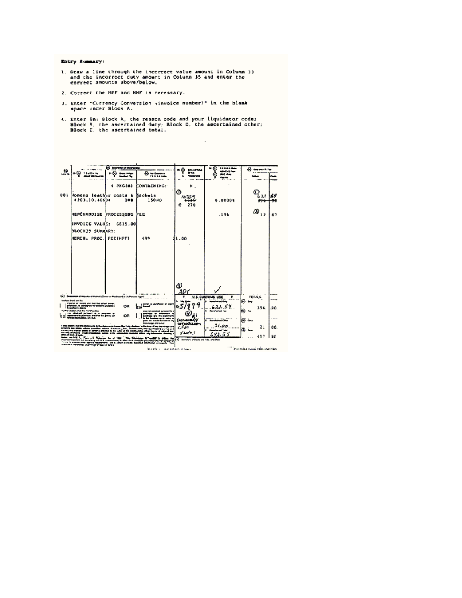- 1. Oraw a line through the incorrect value amount in Column 1)<br>and the incorrect duty amount in Column 15 and enter the<br>correct amounts above/below.
- 2. Correct the MPF and HMF is necessary.
- ). Enter "Currency Conversion (invoice number)" in the blank<br>space under Block A.
- 4. Enter in: Block A, the reason code and your liquidator code;<br>Block B, the ascertained duty; Block D, the ascertained other;<br>Block E, the ascertained total.

| ₩     |                                                                                                        | (1) Systems of Montandist    |                                                                                                               | . မ                                        | tauge fur<br>MACYD Ameri | €<br><b>But over A Fax</b>            |
|-------|--------------------------------------------------------------------------------------------------------|------------------------------|---------------------------------------------------------------------------------------------------------------|--------------------------------------------|--------------------------|---------------------------------------|
| $- -$ | 120112<br>at wii Caas wa                                                                               | *? ===                       | $6 - \cdots$<br><b>TANKA WA</b>                                                                               | $-1$                                       | 6<br>ING Am<br>$\cdots$  | یے                                    |
|       |                                                                                                        | 4 PXG(8)                     | CONTAINING:                                                                                                   |                                            |                          |                                       |
| 001   | Homens leather coats & Backets<br>4203.10.40604                                                        | 108                          | 150NO                                                                                                         | Φ<br>270<br>c                              | 6.00001                  |                                       |
|       | HERCHANDISE PROCESSING FEE                                                                             |                              |                                                                                                               |                                            | .191                     | $\omega_{12}$<br>67                   |
|       | INVOICE VALUE: 6615.00                                                                                 |                              |                                                                                                               |                                            |                          |                                       |
|       | <b>BLOCK39 SUMMARY:</b>                                                                                |                              |                                                                                                               |                                            |                          |                                       |
|       | HERCH. PROC. FEE (HPP)                                                                                 |                              | 499                                                                                                           | 1.00                                       |                          |                                       |
|       |                                                                                                        |                              |                                                                                                               |                                            |                          |                                       |
|       |                                                                                                        |                              |                                                                                                               |                                            |                          |                                       |
|       |                                                                                                        |                              |                                                                                                               |                                            |                          |                                       |
|       |                                                                                                        |                              |                                                                                                               |                                            |                          |                                       |
|       |                                                                                                        |                              |                                                                                                               |                                            |                          |                                       |
|       |                                                                                                        |                              |                                                                                                               | Θ<br>ADY                                   |                          |                                       |
|       |                                                                                                        |                              |                                                                                                               |                                            | U.S. CUSTOMS USE<br>٠    | <b>FOTALS</b>                         |
|       | than i gun tha<br>of school and that the school prove                                                  |                              |                                                                                                               |                                            |                          |                                       |
|       | a more of to instance proposes<br>en allaren<br>n Pal Po Portfordio<br>alad putaat is a puni           | OR                           |                                                                                                               |                                            |                          | 396.<br>90.                           |
|       | the purchase and the the pieces and                                                                    | OR                           |                                                                                                               |                                            |                          | 60) Gra                               |
|       | a distance is not one.<br>$-1$                                                                         | ind taly shadow in the       | کانل شہبا ہے کہ کانل<br>as compared after for in al volume and<br><b>Market Building officer any interest</b> | <b>UTWALLER-</b><br>CFX9<br>ジュータコ          |                          | 21<br>00.<br>கொண்                     |
|       | maked by Painterl Policies by<br>a <del>wakati kuwa wa</del><br>n a mananya di priminsi sebagai sebaga | THE TIME OF A LIGHT A FAMILY | This Showcase is condition to a                                                                               | .<br>Pilipinang at Carlo and Tale and Care |                          | 417<br>90                             |
|       |                                                                                                        |                              | <b>MARNA MENDER EAST</b>                                                                                      |                                            |                          | <b>Continues Entry Hills Indianal</b> |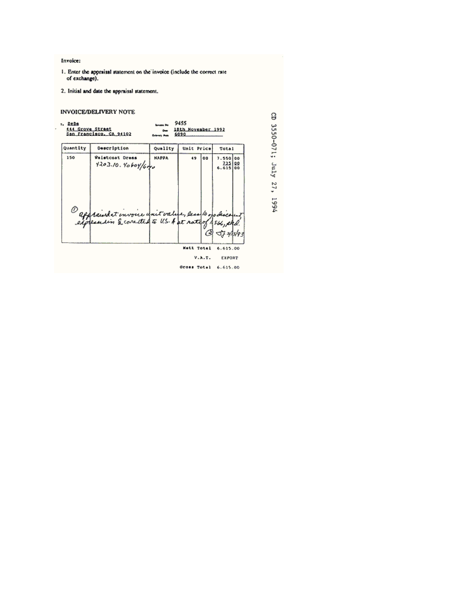$1.$  Enter the appraisal statement on the invoice (include the correct rate of exchange).

2. Initial and date the appraisal statement.

## INVOICE/DELIVERY NOTE

| Quality      |                                          |                |            |                                                                                                     |
|--------------|------------------------------------------|----------------|------------|-----------------------------------------------------------------------------------------------------|
| <b>NAPPA</b> | 49                                       | 0 <sub>0</sub> |            |                                                                                                     |
|              |                                          |                |            |                                                                                                     |
|              |                                          |                |            |                                                                                                     |
|              | Waistcoat Dress<br>$4203.10.$ Yokoy/Gryo |                | Unit Price | <b>Total</b><br>7.550 00<br>$\frac{225}{6635}$<br>O approvidat invoice unit value, seul le podecent |

CD 3550-071; July 27, 1994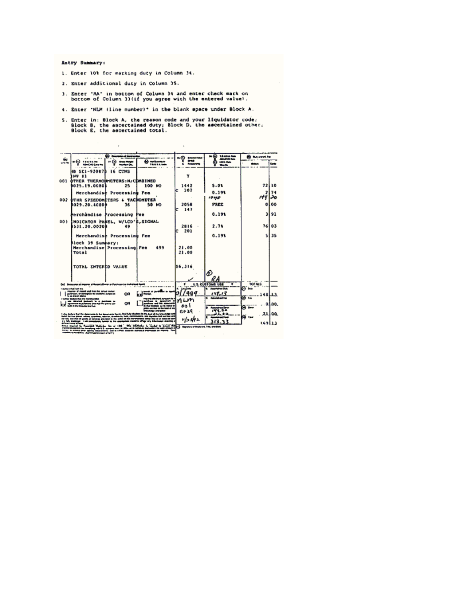- 1. Enter 10% for marking duty in Column 34.
- 2. Enter additional duty in Column 35.
- ). Enter "RA" in bottom of Column 34 and enter check mark on<br>bottom of Column 11(if you agree with the entered value).
- 4. Enter "NLM (line number)" in the blank space under Block A.
- 5. Enter in: Block A, the reason code and your liquidator code:<br>Block B, the ascertained duty; Block D. the ascertained other.<br>Block E, the ascertained total.

|                    | <b>Complete of Hersh</b>                                                                                                                                                    |                                                                   |                                                                                                                |                                                 |                                                 |                     |        |  |  |
|--------------------|-----------------------------------------------------------------------------------------------------------------------------------------------------------------------------|-------------------------------------------------------------------|----------------------------------------------------------------------------------------------------------------|-------------------------------------------------|-------------------------------------------------|---------------------|--------|--|--|
| €u                 | <b>MA - - - - - - -</b>                                                                                                                                                     |                                                                   |                                                                                                                | $(4)$ denoted the $(4)$                         | TANSA POR<br>ABANDAR BAN                        | <b>B</b> by prot to |        |  |  |
| <b>Street Play</b> | (0.1111)<br><b>Advertising County And</b><br><b>CONTRACTOR CONTRACT</b>                                                                                                     | $H(\widehat{A})$ denotes<br><b>Institute City</b><br>1.1111111111 | <b>Gi) no baony n</b><br><b>TRUBA GA</b>                                                                       | 644                                             | Θ<br><b>LAG NAM</b><br>$\overline{\phantom{a}}$ |                     | tants. |  |  |
|                    | HB SE1-92087B                                                                                                                                                               | I6 CTMS                                                           |                                                                                                                |                                                 |                                                 |                     |        |  |  |
|                    | INV 83                                                                                                                                                                      |                                                                   |                                                                                                                |                                                 |                                                 |                     |        |  |  |
|                    | 001 OTHER THERMONMETERS: N/COMBINED                                                                                                                                         |                                                                   |                                                                                                                |                                                 |                                                 |                     |        |  |  |
|                    | 9025.19.0080                                                                                                                                                                | 25                                                                | 100 NO                                                                                                         | 1442                                            | 5.01                                            |                     | 72110  |  |  |
|                    |                                                                                                                                                                             | Merchandise Processing Fee.                                       |                                                                                                                | 102                                             | 0.191                                           |                     |        |  |  |
|                    | 002 OTHR SPEEDOMETERS & TACHOMETER                                                                                                                                          |                                                                   |                                                                                                                |                                                 | 1040                                            | ΝY                  |        |  |  |
|                    | 029.20.40809                                                                                                                                                                | 36                                                                | <b>50 NO</b>                                                                                                   | 2058                                            | <b>PREE</b>                                     |                     | 0100   |  |  |
|                    |                                                                                                                                                                             |                                                                   |                                                                                                                | 147                                             |                                                 |                     |        |  |  |
|                    | Merchàndise Processing Fee                                                                                                                                                  |                                                                   |                                                                                                                |                                                 | 0.191                                           |                     | 3191   |  |  |
| 003                | INDICATOR PANEL, W/LCD'S, SIGNAL                                                                                                                                            |                                                                   |                                                                                                                |                                                 |                                                 |                     |        |  |  |
|                    | 1531.20.0020                                                                                                                                                                |                                                                   |                                                                                                                | 2816                                            | 2.71                                            |                     | 76103  |  |  |
|                    |                                                                                                                                                                             |                                                                   |                                                                                                                | 201                                             |                                                 |                     |        |  |  |
|                    |                                                                                                                                                                             | Merchandise Processing Fee                                        |                                                                                                                |                                                 | 0.191                                           | s.                  | 35     |  |  |
|                    | Block 39 Summary:                                                                                                                                                           |                                                                   |                                                                                                                |                                                 |                                                 |                     |        |  |  |
|                    | <b>Merchandise Processing Fee</b>                                                                                                                                           |                                                                   | 499                                                                                                            | 21.00                                           |                                                 |                     |        |  |  |
|                    | Total                                                                                                                                                                       |                                                                   |                                                                                                                | 21.00                                           |                                                 |                     |        |  |  |
|                    |                                                                                                                                                                             |                                                                   |                                                                                                                |                                                 |                                                 |                     |        |  |  |
|                    | TOTAL ENTERED VALUE                                                                                                                                                         |                                                                   |                                                                                                                | 36.316                                          |                                                 |                     |        |  |  |
|                    |                                                                                                                                                                             |                                                                   |                                                                                                                |                                                 | Æ                                               |                     |        |  |  |
|                    |                                                                                                                                                                             |                                                                   |                                                                                                                |                                                 |                                                 |                     |        |  |  |
|                    |                                                                                                                                                                             |                                                                   |                                                                                                                |                                                 |                                                 |                     |        |  |  |
|                    | (n) Benezen al Imperio al Regel d'Imperio Particulari in Automatica                                                                                                         |                                                                   |                                                                                                                | ٠                                               | <b>U.S. CUSTOMS USE</b>                         | <b>TOTALS</b>       |        |  |  |
|                    | an that it are the<br>to at most and the the small sun                                                                                                                      |                                                                   |                                                                                                                |                                                 | American Mode                                   | 59 en               |        |  |  |
|                    | . or monogram the dustrial purpose of<br>a para mas                                                                                                                         | ÔЯ                                                                |                                                                                                                | <b>944</b>                                      | 1177.13                                         | $9 - 11811$         |        |  |  |
|                    | who dates his he nested                                                                                                                                                     |                                                                   |                                                                                                                | num                                             |                                                 |                     |        |  |  |
|                    | nas albumod (policiet) ta și pontinus de<br>Agricultura pontinus pre mai fu preceptu<br><b>SUR IN FORMADES DO FOR</b>                                                       | OR                                                                | . <del>. .</del> .                                                                                             | oo i                                            |                                                 | $8 - 0.100$         |        |  |  |
|                    |                                                                                                                                                                             |                                                                   | a ma la fia tast el re                                                                                         | <b>CF 29</b>                                    | nas Bene<br>144.20                              |                     |        |  |  |
|                    |                                                                                                                                                                             | a, Karon. Rod Koly dhelmo in Pa, Jaar al my l                     | he Fox Africa, volume, accretions, relation, drambia 10, folds, distributions, and disciplies and and that and |                                                 | 1.1.0.<br>---                                   | 211a                |        |  |  |
|                    | and that all graving as surveyer, growing in the under all that promptation saling in<br>the stational is not promptured, however to the appropriate shadered affair any is |                                                                   |                                                                                                                | りんきかえ                                           |                                                 | paj <sub>inte</sub> |        |  |  |
|                    | , maked to Panish Audion in a 1995. The Minimum is the or to                                                                                                                |                                                                   |                                                                                                                |                                                 |                                                 | 169 13              |        |  |  |
|                    | terms in schools give apprais components, and in colora scarces stational programme and                                                                                     | t im termişme sak bi b. azərana hist. Af Affer al-B-bi            |                                                                                                                | <b>IQ</b> Digestors of Uncharact, Title, and Or |                                                 |                     |        |  |  |
|                    | me a modeling. Karenaal in back of last i                                                                                                                                   |                                                                   |                                                                                                                |                                                 |                                                 |                     |        |  |  |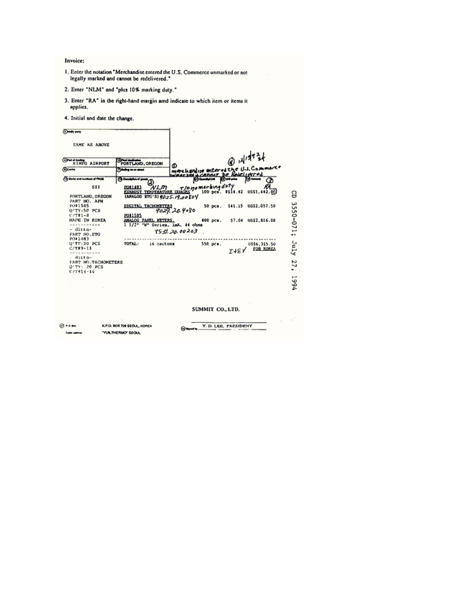- 1. Enter the notation "Merchandise entered the U.S. Commerce unmarked or not legally marked and cannot be redelivered."
- 2. Enter "NLM" and "plus 10% marking duty."
- 3. Enter  $"RA"$  in the right-hand margin amd indicate to which item or items it applies.
- 4. Initial and date the change.

| 1 January party                                                 |                                                                    |                                                                             |
|-----------------------------------------------------------------|--------------------------------------------------------------------|-----------------------------------------------------------------------------|
| <b>SAME AS ABOVE</b>                                            |                                                                    |                                                                             |
| COMMISSION AIRPORT                                              | $0$ and denotes the $0$<br>PORTLAND, OREGON                        | @ 14/993<br>Φ                                                               |
| $\sigma$                                                        | Tabulus on at show!                                                | morehanding entered the U.s. Commerce<br>WHAT YOU & CARRET DE KALELINTED    |
| (1) Morta and numbers of PHOS                                   |                                                                    | <b>DOM</b> NO                                                               |
| <b>SII</b><br>PORTLAND, ORDGON                                  | 2091483<br><b>EXHAUST TEMPERAT</b><br>INMALOG BTG'SI 9025.19,00804 | Tlomomerhing duty<br>100 pcs. #sit.42<br>US\$1,442.00<br><b>GUAGES</b><br>ទ |
| PART NO. APH<br>1011505<br>0'TY:50 PCS                          | DIGITAL TACHOMETERS                                                | \$41.15 US\$2,057.50<br>$50$ pcs.<br>9029.204080                            |
| C/T11-8<br>HADE IN KOREA<br><br>- ditta-                        | 2011505<br>ANALOG PANEL METERS.<br>1 1/2" "W" Series, InA. 44 ohms | 3550-071<br>\$7.04 US\$2,816.00<br>$400$ pcs.                               |
| PART NO. ETG                                                    |                                                                    | 9531. 20.00203<br>                                                          |
| PO11483<br>0'TY:20 PCS<br>$C/T19 - 13$<br>-----<br>- ditta-     | TOTAL:<br>16 cartons                                               | July<br>550 pcs.<br>US\$6,315.50<br><b>FOB KOREA</b><br>I+EV                |
| <b><i>FART NO. TACHOMETERS</i></b><br>0'TY: 20 PCS<br>C/T414-16 |                                                                    | 27                                                                          |
|                                                                 |                                                                    | 7994                                                                        |
|                                                                 |                                                                    | SUMMIT CO., LTD.                                                            |
| GM ⊭d                                                           | K.P.O. BOX 720 SEOUL, KOMEA<br>"YUILTHERMO" SEOUL                  | Y.D. LEG. PRESIDENT                                                         |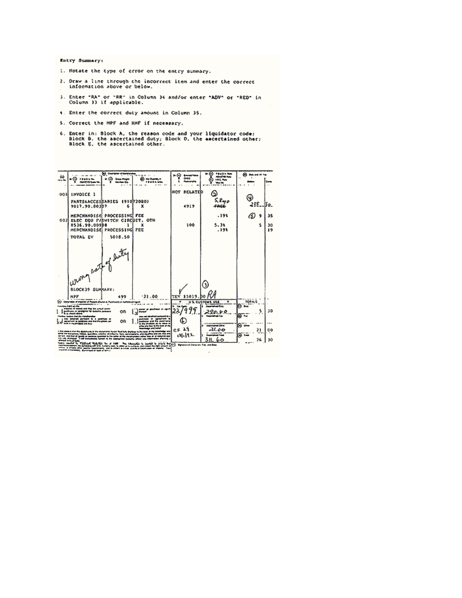- i. Notate the type of error on the entry summary.
- 2. Draw a line through the incorrect item and enter the correct<br>information above or below.
- 3. Enter "RA" or "RR" in Column 34 and/or enter "ADV" or "RED" in<br>Column 33 if applicable.
- 4. Enter the correct duty amount in Column 35.
- S. Correct the MPF and RMF if necessary.
- 6. Enter in: Block A, the reason code and your liquidator code:<br>Block B, the ascertained duty; Block D, the ascertained other:<br>Block E, the ascertained other.

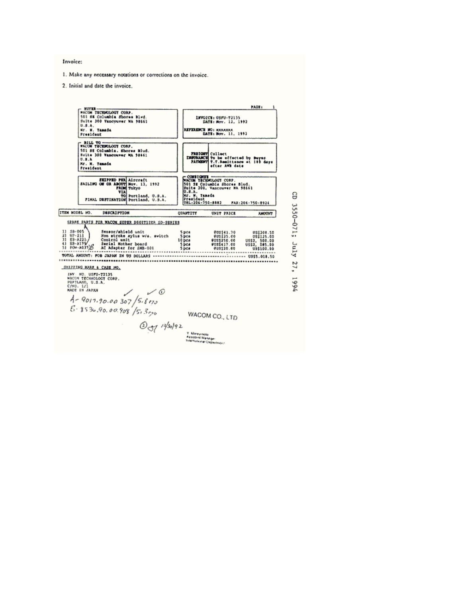1. Make any necessary notations or corrections on the invoice.

2. Initial and date the invoice.

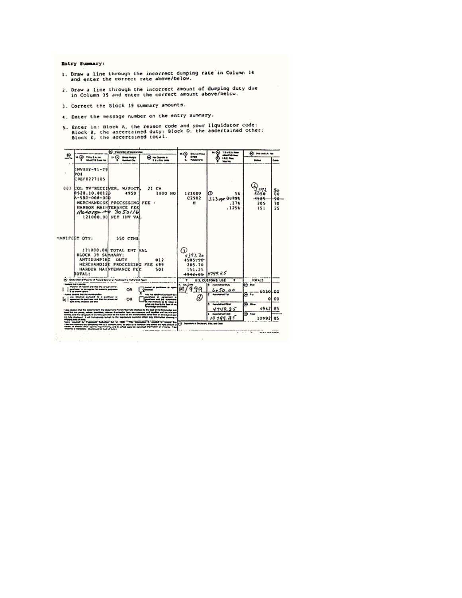- 1. Draw a line through the incorrect dumping rate in Column 34 and enter the correct rate above/below.
- 2. Draw a line through the incorrect amount of dumping duty due<br>in Column 35 and enter the correct amount above/below.
- ). Correct the Block 39 summary amounts.
- 4. Enter the message number on the entry summary.
- 5. Enter in: Block A, the reason code and your liquidator code;<br>Block B, the ascertained duty: Block D, the ascertained other;<br>Block E, the ascertained total.

 $\mathbf{I}$ 

|           | (N) Constant of Services                                                                                                                                                                                                                                                                                                                                                                                                                                                                                            |                                                                                                                                                                                                                                                              |                                   | <b>*0 kww</b>                                                                                                                | HO TEULAND<br>ADACYS A                                                                                                         | <b>@</b> <i><b><u>An welt</u></b></i>                                                                                 |                               |
|-----------|---------------------------------------------------------------------------------------------------------------------------------------------------------------------------------------------------------------------------------------------------------------------------------------------------------------------------------------------------------------------------------------------------------------------------------------------------------------------------------------------------------------------|--------------------------------------------------------------------------------------------------------------------------------------------------------------------------------------------------------------------------------------------------------------|-----------------------------------|------------------------------------------------------------------------------------------------------------------------------|--------------------------------------------------------------------------------------------------------------------------------|-----------------------------------------------------------------------------------------------------------------------|-------------------------------|
| Ω.<br>. . | ≖⊙<br><b><i>ESVEA </i></b><br><b>NOWEVE CARE TO</b>                                                                                                                                                                                                                                                                                                                                                                                                                                                                 | *0 <del></del><br><b>Working Ox</b>                                                                                                                                                                                                                          | <b>Command</b><br><b>FRUSA UM</b> | 0-94<br>٠<br>----                                                                                                            | <b>IACAN</b><br>$\sim$                                                                                                         |                                                                                                                       | ten.                          |
|           | (1 NV 1 HY - 9 1 - 7 9)<br>bo i<br><b>CREF1227105</b><br>001 COL TV RECEINER, W/PICTL<br>8528.10.8012D<br>A-580-008-000                                                                                                                                                                                                                                                                                                                                                                                             | 4950<br>MERCHANDISE PROCESSING FEE -<br><b>ISARBOR HAIMTENANCE FEE</b><br>Mesara no 3050116<br>121000.00 HET INV VAL                                                                                                                                         | 21 CH<br>1100 NO                  | 121000<br>C2902<br>н                                                                                                         | Ю<br>51.<br>ふしろっぱ ラーフラル<br>.171<br>.1251                                                                                       | 391<br>6050<br>4585<br>205<br>151                                                                                     | រឹះ<br>40<br>70<br>25         |
| αı        | MANIFEET OTY:<br>BLOCK 39 SUMMARY:<br>ANTIQUMPING<br>FOTAL:<br><b>عالا شو ا آب</b><br>to all result and that the propriationals.<br>, a magnes in summe popular<br><b>. 1799 MAI</b><br><b>Bullet for the Australian</b><br>wis Minimal Jurisdict is a publicate o<br>an't be journ't was ontail that the primat bad<br>SOR IS MY FRANCH AND FOR<br>t and the of gouts in burning prov<br>the distances . ) with biologically harrow to the superplace moving attempt any p<br>T I TERRITO REALIZZAR DI SAN 2 SAN E | 550 CTNS<br>121000.00 TOTAL ENT VAL<br>DUTY<br>HERCHANDISE PROCESSING PEE 499<br>HARBOR HAINTENANCE FEE<br>4, 4,<br>Maarte di Pastani Khemat ay Paralalanti ini Palitanist Paperi<br><b>OR</b><br>OR<br>THE R. P. LEWIS CO., LANSING, MICH. 49-14039-1-120-2 | 012<br>501                        | ω<br>4392.30<br>1505-90<br>205.70<br>151.25<br>$+942.85$<br>٠<br>999<br>Đ<br><b>A</b><br>Services of Contened, The and Color | 19749.25<br>U.S. CUSTOMS USE<br>٠<br>والراز فهماوسيط<br>6.50.00<br><b>Northerne Core</b> r<br>749.25<br>عسدة عبد<br>10 194. 25 | <b>FOTALS</b><br><b>DO MY</b><br>$--6050-00$<br>55 Fe<br>۰<br>5 w <del>.</del><br>4942<br>$\rightarrow -$<br>10992 85 | 00<br>85<br><b>CONTRACTOR</b> |
|           |                                                                                                                                                                                                                                                                                                                                                                                                                                                                                                                     |                                                                                                                                                                                                                                                              |                                   |                                                                                                                              |                                                                                                                                | <b>Brac</b> machine<br>π                                                                                              |                               |